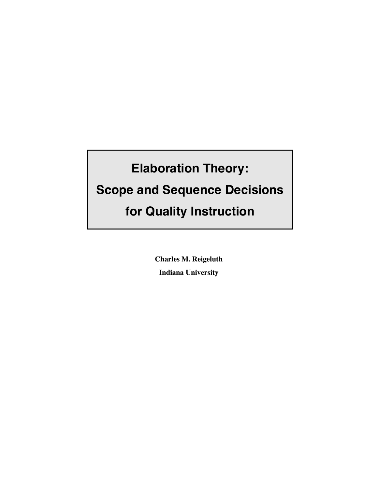## **Elaboration Theory:**

## **Scope and Sequence Decisions**

## **for Quality Instruction**

**Charles M. Reigeluth Indiana University**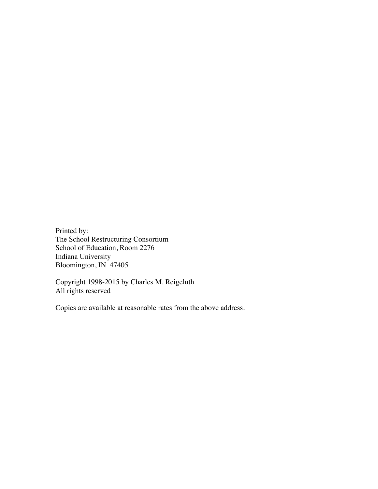Printed by: The School Restructuring Consortium School of Education, Room 2276 Indiana University Bloomington, IN 47405

Copyright 1998-2015 by Charles M. Reigeluth All rights reserved

Copies are available at reasonable rates from the above address.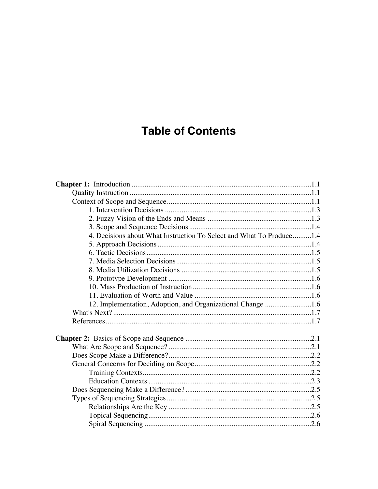## **Table of Contents**

| 4. Decisions about What Instruction To Select and What To Produce1.4 |  |
|----------------------------------------------------------------------|--|
|                                                                      |  |
|                                                                      |  |
|                                                                      |  |
|                                                                      |  |
|                                                                      |  |
|                                                                      |  |
|                                                                      |  |
| 12. Implementation, Adoption, and Organizational Change 1.6          |  |
|                                                                      |  |
|                                                                      |  |
|                                                                      |  |
|                                                                      |  |
|                                                                      |  |
|                                                                      |  |
|                                                                      |  |
|                                                                      |  |
|                                                                      |  |
|                                                                      |  |
|                                                                      |  |
|                                                                      |  |
|                                                                      |  |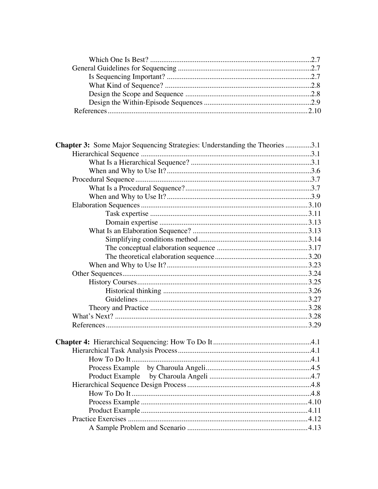| <b>Chapter 3:</b> Some Major Sequencing Strategies: Understanding the Theories 3.1 |  |
|------------------------------------------------------------------------------------|--|
|                                                                                    |  |
|                                                                                    |  |
|                                                                                    |  |
|                                                                                    |  |
|                                                                                    |  |
|                                                                                    |  |
|                                                                                    |  |
|                                                                                    |  |
|                                                                                    |  |
|                                                                                    |  |
|                                                                                    |  |
|                                                                                    |  |
|                                                                                    |  |
|                                                                                    |  |
|                                                                                    |  |
|                                                                                    |  |
|                                                                                    |  |
|                                                                                    |  |
|                                                                                    |  |
|                                                                                    |  |
|                                                                                    |  |
|                                                                                    |  |
|                                                                                    |  |
|                                                                                    |  |
|                                                                                    |  |
|                                                                                    |  |
|                                                                                    |  |
|                                                                                    |  |
|                                                                                    |  |
|                                                                                    |  |
|                                                                                    |  |
|                                                                                    |  |